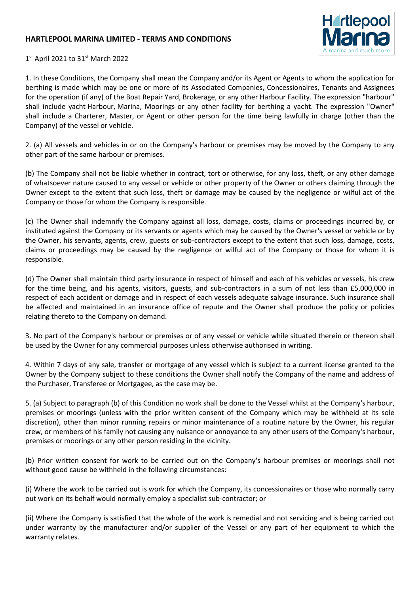## **HARTLEPOOL MARINA LIMITED - TERMS AND CONDITIONS**



1st April 2021 to 31st March 2022

1. In these Conditions, the Company shall mean the Company and/or its Agent or Agents to whom the application for berthing is made which may be one or more of its Associated Companies, Concessionaires, Tenants and Assignees for the operation (if any) of the Boat Repair Yard, Brokerage, or any other Harbour Facility. The expression "harbour" shall include yacht Harbour, Marina, Moorings or any other facility for berthing a yacht. The expression "Owner" shall include a Charterer, Master, or Agent or other person for the time being lawfully in charge (other than the Company) of the vessel or vehicle.

2. (a) All vessels and vehicles in or on the Company's harbour or premises may be moved by the Company to any other part of the same harbour or premises.

(b) The Company shall not be liable whether in contract, tort or otherwise, for any loss, theft, or any other damage of whatsoever nature caused to any vessel or vehicle or other property of the Owner or others claiming through the Owner except to the extent that such loss, theft or damage may be caused by the negligence or wilful act of the Company or those for whom the Company is responsible.

(c) The Owner shall indemnify the Company against all loss, damage, costs, claims or proceedings incurred by, or instituted against the Company or its servants or agents which may be caused by the Owner's vessel or vehicle or by the Owner, his servants, agents, crew, guests or sub-contractors except to the extent that such loss, damage, costs, claims or proceedings may be caused by the negligence or wilful act of the Company or those for whom it is responsible.

(d) The Owner shall maintain third party insurance in respect of himself and each of his vehicles or vessels, his crew for the time being, and his agents, visitors, guests, and sub-contractors in a sum of not less than £5,000,000 in respect of each accident or damage and in respect of each vessels adequate salvage insurance. Such insurance shall be affected and maintained in an insurance office of repute and the Owner shall produce the policy or policies relating thereto to the Company on demand.

3. No part of the Company's harbour or premises or of any vessel or vehicle while situated therein or thereon shall be used by the Owner for any commercial purposes unless otherwise authorised in writing.

4. Within 7 days of any sale, transfer or mortgage of any vessel which is subject to a current license granted to the Owner by the Company subject to these conditions the Owner shall notify the Company of the name and address of the Purchaser, Transferee or Mortgagee, as the case may be.

5. (a) Subject to paragraph (b) of this Condition no work shall be done to the Vessel whilst at the Company's harbour, premises or moorings (unless with the prior written consent of the Company which may be withheld at its sole discretion), other than minor running repairs or minor maintenance of a routine nature by the Owner, his regular crew, or members of his family not causing any nuisance or annoyance to any other users of the Company's harbour, premises or moorings or any other person residing in the vicinity.

(b) Prior written consent for work to be carried out on the Company's harbour premises or moorings shall not without good cause be withheld in the following circumstances:

(i) Where the work to be carried out is work for which the Company, its concessionaires or those who normally carry out work on its behalf would normally employ a specialist sub-contractor; or

(ii) Where the Company is satisfied that the whole of the work is remedial and not servicing and is being carried out under warranty by the manufacturer and/or supplier of the Vessel or any part of her equipment to which the warranty relates.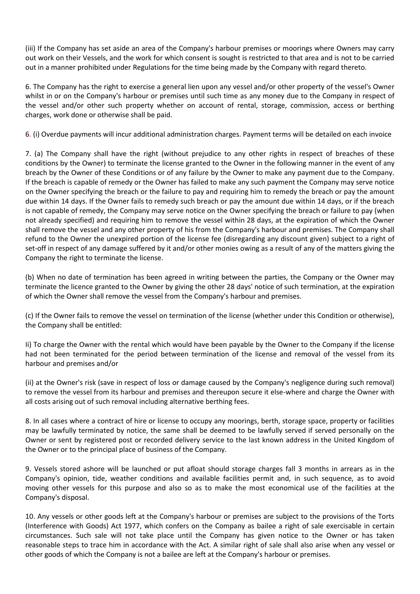(iii) If the Company has set aside an area of the Company's harbour premises or moorings where Owners may carry out work on their Vessels, and the work for which consent is sought is restricted to that area and is not to be carried out in a manner prohibited under Regulations for the time being made by the Company with regard thereto.

6. The Company has the right to exercise a general lien upon any vessel and/or other property of the vessel's Owner whilst in or on the Company's harbour or premises until such time as any money due to the Company in respect of the vessel and/or other such property whether on account of rental, storage, commission, access or berthing charges, work done or otherwise shall be paid.

6. (i) Overdue payments will incur additional administration charges. Payment terms will be detailed on each invoice

7. (a) The Company shall have the right (without prejudice to any other rights in respect of breaches of these conditions by the Owner) to terminate the license granted to the Owner in the following manner in the event of any breach by the Owner of these Conditions or of any failure by the Owner to make any payment due to the Company. If the breach is capable of remedy or the Owner has failed to make any such payment the Company may serve notice on the Owner specifying the breach or the failure to pay and requiring him to remedy the breach or pay the amount due within 14 days. If the Owner fails to remedy such breach or pay the amount due within 14 days, or if the breach is not capable of remedy, the Company may serve notice on the Owner specifying the breach or failure to pay (when not already specified) and requiring him to remove the vessel within 28 days, at the expiration of which the Owner shall remove the vessel and any other property of his from the Company's harbour and premises. The Company shall refund to the Owner the unexpired portion of the license fee (disregarding any discount given) subject to a right of set-off in respect of any damage suffered by it and/or other monies owing as a result of any of the matters giving the Company the right to terminate the license.

(b) When no date of termination has been agreed in writing between the parties, the Company or the Owner may terminate the licence granted to the Owner by giving the other 28 days' notice of such termination, at the expiration of which the Owner shall remove the vessel from the Company's harbour and premises.

(c) If the Owner fails to remove the vessel on termination of the license (whether under this Condition or otherwise), the Company shall be entitled:

Ii) To charge the Owner with the rental which would have been payable by the Owner to the Company if the license had not been terminated for the period between termination of the license and removal of the vessel from its harbour and premises and/or

(ii) at the Owner's risk (save in respect of loss or damage caused by the Company's negligence during such removal) to remove the vessel from its harbour and premises and thereupon secure it else-where and charge the Owner with all costs arising out of such removal including alternative berthing fees.

8. In all cases where a contract of hire or license to occupy any moorings, berth, storage space, property or facilities may be lawfully terminated by notice, the same shall be deemed to be lawfully served if served personally on the Owner or sent by registered post or recorded delivery service to the last known address in the United Kingdom of the Owner or to the principal place of business of the Company.

9. Vessels stored ashore will be launched or put afloat should storage charges fall 3 months in arrears as in the Company's opinion, tide, weather conditions and available facilities permit and, in such sequence, as to avoid moving other vessels for this purpose and also so as to make the most economical use of the facilities at the Company's disposal.

10. Any vessels or other goods left at the Company's harbour or premises are subject to the provisions of the Torts (Interference with Goods) Act 1977, which confers on the Company as bailee a right of sale exercisable in certain circumstances. Such sale will not take place until the Company has given notice to the Owner or has taken reasonable steps to trace him in accordance with the Act. A similar right of sale shall also arise when any vessel or other goods of which the Company is not a bailee are left at the Company's harbour or premises.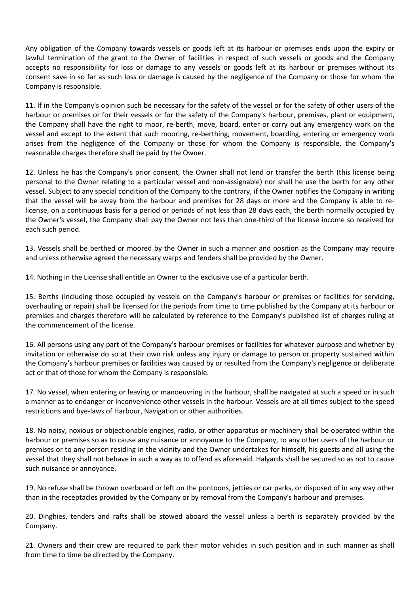Any obligation of the Company towards vessels or goods left at its harbour or premises ends upon the expiry or lawful termination of the grant to the Owner of facilities in respect of such vessels or goods and the Company accepts no responsibility for loss or damage to any vessels or goods left at its harbour or premises without its consent save in so far as such loss or damage is caused by the negligence of the Company or those for whom the Company is responsible.

11. If in the Company's opinion such be necessary for the safety of the vessel or for the safety of other users of the harbour or premises or for their vessels or for the safety of the Company's harbour, premises, plant or equipment, the Company shall have the right to moor, re-berth, move, board, enter or carry out any emergency work on the vessel and except to the extent that such mooring, re-berthing, movement, boarding, entering or emergency work arises from the negligence of the Company or those for whom the Company is responsible, the Company's reasonable charges therefore shall be paid by the Owner.

12. Unless he has the Company's prior consent, the Owner shall not lend or transfer the berth (this license being personal to the Owner relating to a particular vessel and non-assignable) nor shall he use the berth for any other vessel. Subject to any special condition of the Company to the contrary, if the Owner notifies the Company in writing that the vessel will be away from the harbour and premises for 28 days or more and the Company is able to relicense, on a continuous basis for a period or periods of not less than 28 days each, the berth normally occupied by the Owner's vessel, the Company shall pay the Owner not less than one-third of the license income so received for each such period.

13. Vessels shall be berthed or moored by the Owner in such a manner and position as the Company may require and unless otherwise agreed the necessary warps and fenders shall be provided by the Owner.

14. Nothing in the License shall entitle an Owner to the exclusive use of a particular berth.

15. Berths (including those occupied by vessels on the Company's harbour or premises or facilities for servicing, overhauling or repair) shall be licensed for the periods from time to time published by the Company at its harbour or premises and charges therefore will be calculated by reference to the Company's published list of charges ruling at the commencement of the license.

16. All persons using any part of the Company's harbour premises or facilities for whatever purpose and whether by invitation or otherwise do so at their own risk unless any injury or damage to person or property sustained within the Company's harbour premises or facilities was caused by or resulted from the Company's negligence or deliberate act or that of those for whom the Company is responsible.

17. No vessel, when entering or leaving or manoeuvring in the harbour, shall be navigated at such a speed or in such a manner as to endanger or inconvenience other vessels in the harbour. Vessels are at all times subject to the speed restrictions and bye-laws of Harbour, Navigation or other authorities.

18. No noisy, noxious or objectionable engines, radio, or other apparatus or machinery shall be operated within the harbour or premises so as to cause any nuisance or annoyance to the Company, to any other users of the harbour or premises or to any person residing in the vicinity and the Owner undertakes for himself, his guests and all using the vessel that they shall not behave in such a way as to offend as aforesaid. Halyards shall be secured so as not to cause such nuisance or annoyance.

19. No refuse shall be thrown overboard or left on the pontoons, jetties or car parks, or disposed of in any way other than in the receptacles provided by the Company or by removal from the Company's harbour and premises.

20. Dinghies, tenders and rafts shall be stowed aboard the vessel unless a berth is separately provided by the Company.

21. Owners and their crew are required to park their motor vehicles in such position and in such manner as shall from time to time be directed by the Company.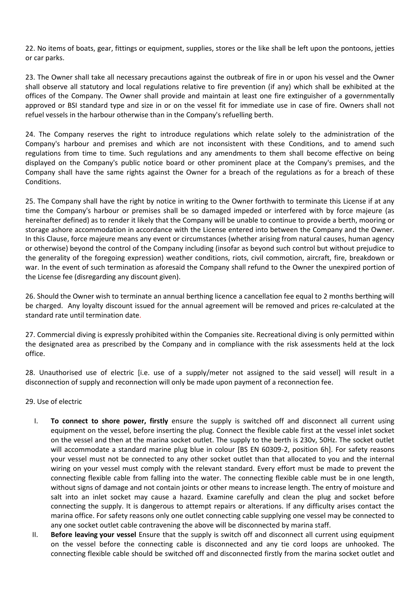22. No items of boats, gear, fittings or equipment, supplies, stores or the like shall be left upon the pontoons, jetties or car parks.

23. The Owner shall take all necessary precautions against the outbreak of fire in or upon his vessel and the Owner shall observe all statutory and local regulations relative to fire prevention (if any) which shall be exhibited at the offices of the Company. The Owner shall provide and maintain at least one fire extinguisher of a governmentally approved or BSI standard type and size in or on the vessel fit for immediate use in case of fire. Owners shall not refuel vessels in the harbour otherwise than in the Company's refuelling berth.

24. The Company reserves the right to introduce regulations which relate solely to the administration of the Company's harbour and premises and which are not inconsistent with these Conditions, and to amend such regulations from time to time. Such regulations and any amendments to them shall become effective on being displayed on the Company's public notice board or other prominent place at the Company's premises, and the Company shall have the same rights against the Owner for a breach of the regulations as for a breach of these Conditions.

25. The Company shall have the right by notice in writing to the Owner forthwith to terminate this License if at any time the Company's harbour or premises shall be so damaged impeded or interfered with by force majeure (as hereinafter defined) as to render it likely that the Company will be unable to continue to provide a berth, mooring or storage ashore accommodation in accordance with the License entered into between the Company and the Owner. In this Clause, force majeure means any event or circumstances (whether arising from natural causes, human agency or otherwise) beyond the control of the Company including (insofar as beyond such control but without prejudice to the generality of the foregoing expression) weather conditions, riots, civil commotion, aircraft, fire, breakdown or war. In the event of such termination as aforesaid the Company shall refund to the Owner the unexpired portion of the License fee (disregarding any discount given).

26. Should the Owner wish to terminate an annual berthing licence a cancellation fee equal to 2 months berthing will be charged. Any loyalty discount issued for the annual agreement will be removed and prices re-calculated at the standard rate until termination date.

27. Commercial diving is expressly prohibited within the Companies site. Recreational diving is only permitted within the designated area as prescribed by the Company and in compliance with the risk assessments held at the lock office.

28. Unauthorised use of electric [i.e. use of a supply/meter not assigned to the said vessel] will result in a disconnection of supply and reconnection will only be made upon payment of a reconnection fee.

## 29. Use of electric

- I. **To connect to shore power, firstly** ensure the supply is switched off and disconnect all current using equipment on the vessel, before inserting the plug. Connect the flexible cable first at the vessel inlet socket on the vessel and then at the marina socket outlet. The supply to the berth is 230v, 50Hz. The socket outlet will accommodate a standard marine plug blue in colour [BS EN 60309-2, position 6h]. For safety reasons your vessel must not be connected to any other socket outlet than that allocated to you and the internal wiring on your vessel must comply with the relevant standard. Every effort must be made to prevent the connecting flexible cable from falling into the water. The connecting flexible cable must be in one length, without signs of damage and not contain joints or other means to increase length. The entry of moisture and salt into an inlet socket may cause a hazard. Examine carefully and clean the plug and socket before connecting the supply. It is dangerous to attempt repairs or alterations. If any difficulty arises contact the marina office. For safety reasons only one outlet connecting cable supplying one vessel may be connected to any one socket outlet cable contravening the above will be disconnected by marina staff.
- II. **Before leaving your vessel** Ensure that the supply is switch off and disconnect all current using equipment on the vessel before the connecting cable is disconnected and any tie cord loops are unhooked. The connecting flexible cable should be switched off and disconnected firstly from the marina socket outlet and